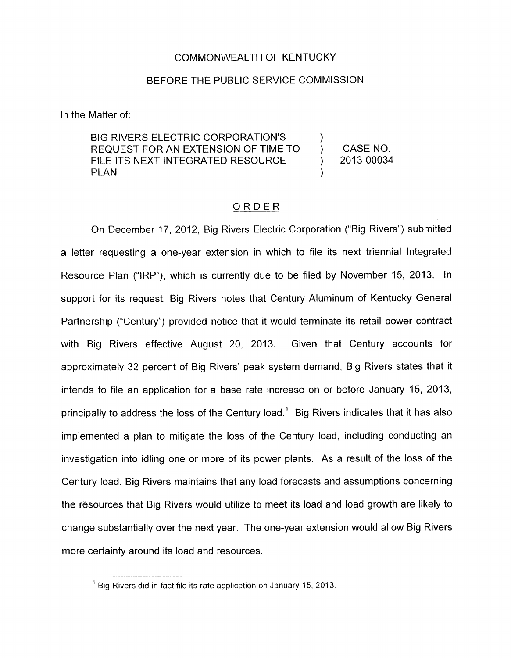## COMMONWEALTH OF KENTUCKY

## BEFORE THE PUBLIC SERVICE COMMISSION

In the Matter of:

BIG RIVERS ELECTRIC CORPORATION'S  $\qquad$  )<br>REQUEST FOR AN EXTENSION OF TIME TO  $\qquad$  ) FILE ITS NEXT INTEGRATED RESOURCE  $\qquad$  ) 2013-00034 PLAN ) REQUEST FOR AN EXTENSION OF TIME TO ) CASE NO.

## ORDER

On December 17, 2012, Big Rivers Electric Corporation ("Big Rivers") submitted a letter requesting a one-year extension in which to file its next triennial Integrated Resource Plan ("IRP"), which is currently due to be filed by November 15, 2013. **In**  support for its request, Big Rivers notes that Century Aluminum of Kentucky General Partnership ("Century") provided notice that it would terminate its retail power contract with Big Rivers effective August 20, 2013. Given that Century accounts for approximately 32 percent of Big Rivers' peak system demand, Big Rivers states that it intends to file an application for a base rate increase on or before January 15, 2013, principally to address the loss of the Century load.' Big Rivers indicates that it has also implemented a plan to mitigate the loss of the Century load, including conducting an investigation into idling one or more of its power plants. As a result of the loss of the Century load, Big Rivers maintains that any load forecasts and assumptions concerning the resources that Big Rivers would utilize to meet its load and load growth are likely to change substantially over the next year. The one-year extension would allow Big Rivers more certainty around its load and resources.

<sup>&</sup>lt;sup>1</sup> Big Rivers did in fact file its rate application on January 15, 2013.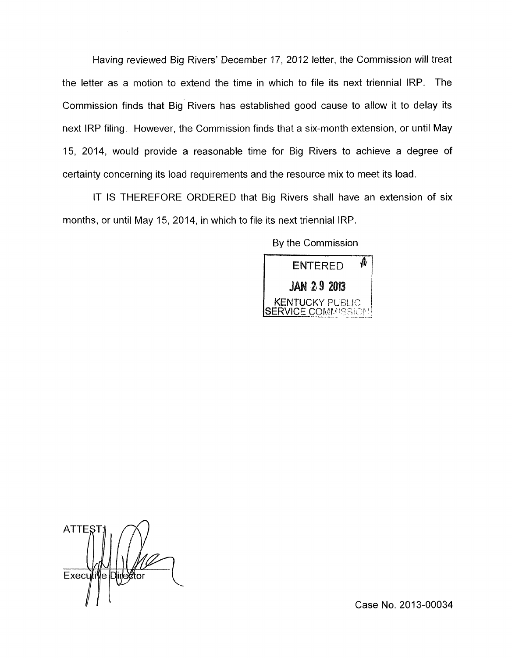Having reviewed Big Rivers' December 17, 2012 letter, the Commission will treat the letter as a motion to extend the time in which to file its next triennial IRP. The Commission finds that Big Rivers has established good cause to allow it to delay its next IRP filing. However, the Commission finds that a six-month extension, or until May 15, 2014, would provide a reasonable time for Big Rivers to achieve a degree of certainty concerning its load requirements and the resource mix to meet its load.

IT IS THEREFORE ORDERED that Big Rivers shall have an extension of six months, or until May 15, 2014, in which to file its next triennial IRP.

By the Commission



**ATTE** Executive Director

Case No. 2013-00034